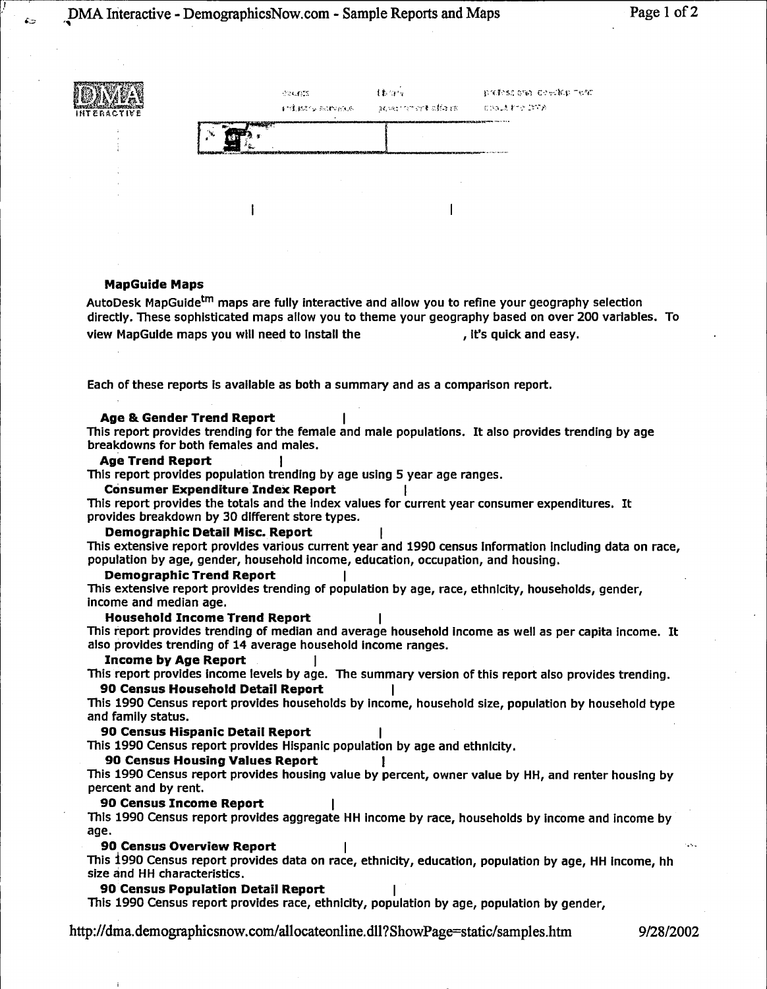

### **MapGuide Maps**

 $\epsilon$ 

AutoDesk MapGuide<sup>tm</sup> maps are fully interactive and allow you to refine your geography selection directly. These sophisticated maps allow you to theme your geography based on over 200 variables. To view MapGuide maps you will need to install the measure the section of it's quick and easy.

Each of these reports is available as both a summary and as a comparison report.

#### **Age & Gender Trend Report**

This report provides trending for the female and male populations. It also provides trending by age breakdowns for both females and males.

#### **Age Trend Report**

This report provides population trending by age using 5 year age ranges.

### **Consumer Expenditure Index Report**

This report provides the totals and the Index values for current year consumer expenditures. It provides breakdown by 30 different store types.

### **Demographic Detail Misc. Report**

This extensive report provides various current year and 1990 census Information Including data on race, population by age, gender, household income, education, occupation, and housing.

### **Demographic Trend Report**

This extensive report provides trending of population by age, race, ethnicity, households, gender, income and median age.

### **Household Income Trend Report**

This report provides trending of median and average household Income as well as per capita income. It also provides trending of 14 average household Income ranges.

#### **Income by Age Report** I

This report provides income levels by age. The summary version of this report also provides trending.

# **90 Census Household Detail Report**

This 1990 Census report provides households by income, household size, population by household type and family status.

# **90 Census Hispanic Detail Report**

This 1990 Census report provides Hispanic population by age and ethnicity.

### **90 Census Housing Values Report**

This 1990 Census report provides housing value by percent, owner value by HH, and renter housing by percent and by rent.

### **90 Census Income Report**

This 1990 Census report provides aggregate HH income by race, households by income and income by age.

#### **90 Census Overview Report**

This i990 Census report provides data on race, ethnicity, education, population by age, **HH** Income, hh size and HH characteristics.

#### **90 Census Population Detail Report**

This 1990 Census report provides race, ethnicity, population by age, population by gender,

http://dma.demographicsnow.com/allocateonline.dll?ShowPage==static/samples.htm 9/28/2002